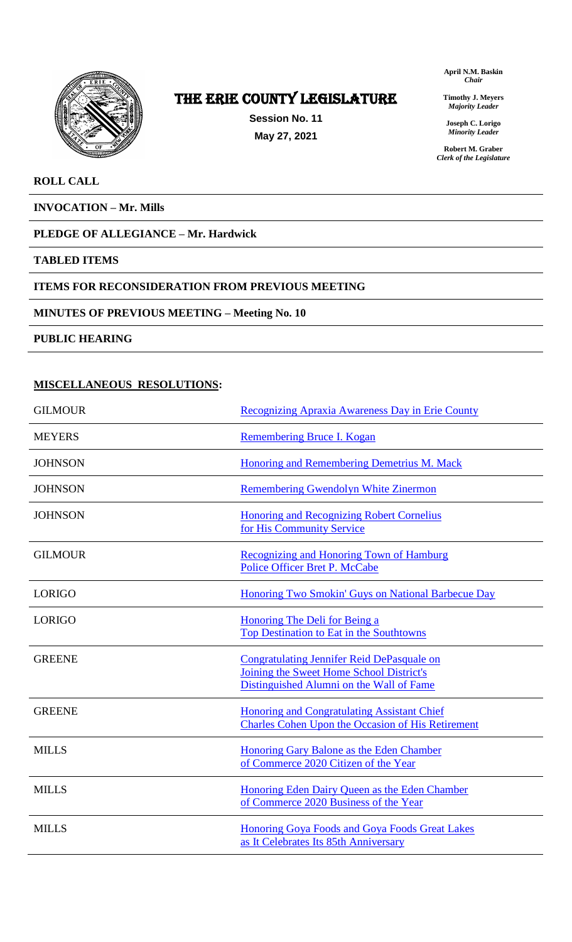

# The ERIE COUNTY LEGISLATURE

**Session No. 11 May 27, 2021**

**April N.M. Baskin** *Chair*

**Timothy J. Meyers** *Majority Leader*

**Joseph C. Lorigo** *Minority Leader*

**Robert M. Graber** *Clerk of the Legislature*

### **ROLL CALL**

**INVOCATION – Mr. Mills**

## **PLEDGE OF ALLEGIANCE – Mr. Hardwick**

#### **TABLED ITEMS**

### **ITEMS FOR RECONSIDERATION FROM PREVIOUS MEETING**

# **MINUTES OF PREVIOUS MEETING – Meeting No. 10**

**PUBLIC HEARING**

## **MISCELLANEOUS RESOLUTIONS:**

| <b>GILMOUR</b> | <b>Recognizing Apraxia Awareness Day in Erie County</b>                                                                                   |
|----------------|-------------------------------------------------------------------------------------------------------------------------------------------|
| <b>MEYERS</b>  | Remembering Bruce I. Kogan                                                                                                                |
| <b>JOHNSON</b> | <b>Honoring and Remembering Demetrius M. Mack</b>                                                                                         |
| <b>JOHNSON</b> | <b>Remembering Gwendolyn White Zinermon</b>                                                                                               |
| <b>JOHNSON</b> | <b>Honoring and Recognizing Robert Cornelius</b><br>for His Community Service                                                             |
| <b>GILMOUR</b> | Recognizing and Honoring Town of Hamburg<br>Police Officer Bret P. McCabe                                                                 |
| <b>LORIGO</b>  | <b>Honoring Two Smokin' Guys on National Barbecue Day</b>                                                                                 |
| <b>LORIGO</b>  | Honoring The Deli for Being a<br><b>Top Destination to Eat in the Southtowns</b>                                                          |
| <b>GREENE</b>  | <b>Congratulating Jennifer Reid DePasquale on</b><br>Joining the Sweet Home School District's<br>Distinguished Alumni on the Wall of Fame |
| <b>GREENE</b>  | <b>Honoring and Congratulating Assistant Chief</b><br><b>Charles Cohen Upon the Occasion of His Retirement</b>                            |
| <b>MILLS</b>   | Honoring Gary Balone as the Eden Chamber<br>of Commerce 2020 Citizen of the Year                                                          |
| <b>MILLS</b>   | Honoring Eden Dairy Queen as the Eden Chamber<br>of Commerce 2020 Business of the Year                                                    |
| <b>MILLS</b>   | Honoring Goya Foods and Goya Foods Great Lakes<br>as It Celebrates Its 85th Anniversary                                                   |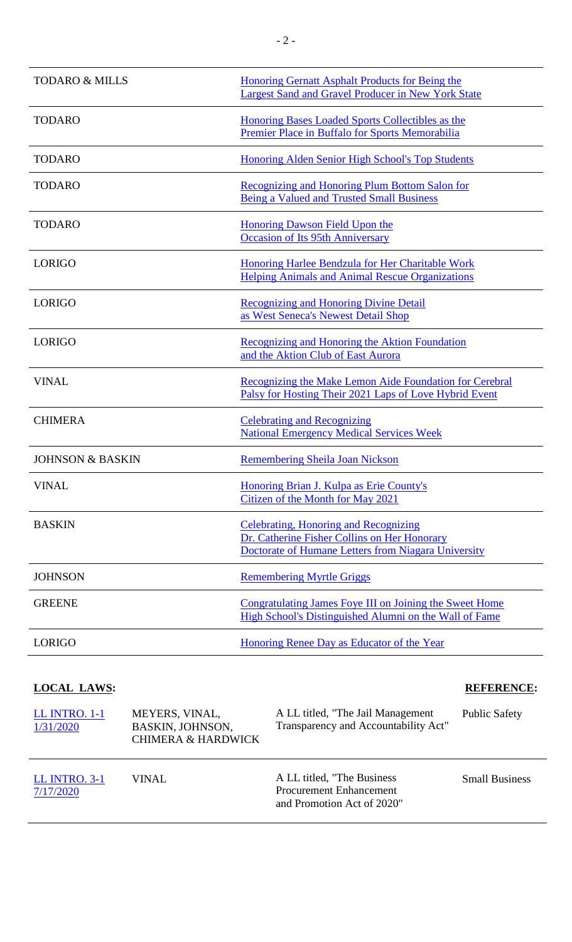| <b>TODARO &amp; MILLS</b>   | Honoring Gernatt Asphalt Products for Being the<br><b>Largest Sand and Gravel Producer in New York State</b>                                        |
|-----------------------------|-----------------------------------------------------------------------------------------------------------------------------------------------------|
| <b>TODARO</b>               | Honoring Bases Loaded Sports Collectibles as the<br>Premier Place in Buffalo for Sports Memorabilia                                                 |
| <b>TODARO</b>               | Honoring Alden Senior High School's Top Students                                                                                                    |
| <b>TODARO</b>               | Recognizing and Honoring Plum Bottom Salon for<br>Being a Valued and Trusted Small Business                                                         |
| <b>TODARO</b>               | <b>Honoring Dawson Field Upon the</b><br><b>Occasion of Its 95th Anniversary</b>                                                                    |
| <b>LORIGO</b>               | Honoring Harlee Bendzula for Her Charitable Work<br>Helping Animals and Animal Rescue Organizations                                                 |
| <b>LORIGO</b>               | <b>Recognizing and Honoring Divine Detail</b><br>as West Seneca's Newest Detail Shop                                                                |
| <b>LORIGO</b>               | Recognizing and Honoring the Aktion Foundation<br>and the Aktion Club of East Aurora                                                                |
| <b>VINAL</b>                | Recognizing the Make Lemon Aide Foundation for Cerebral<br>Palsy for Hosting Their 2021 Laps of Love Hybrid Event                                   |
| <b>CHIMERA</b>              | <b>Celebrating and Recognizing</b><br><b>National Emergency Medical Services Week</b>                                                               |
| <b>JOHNSON &amp; BASKIN</b> | <b>Remembering Sheila Joan Nickson</b>                                                                                                              |
| <b>VINAL</b>                | Honoring Brian J. Kulpa as Erie County's<br>Citizen of the Month for May 2021                                                                       |
| <b>BASKIN</b>               | Celebrating, Honoring and Recognizing<br>Dr. Catherine Fisher Collins on Her Honorary<br><b>Doctorate of Humane Letters from Niagara University</b> |
| <b>JOHNSON</b>              | <b>Remembering Myrtle Griggs</b>                                                                                                                    |
| <b>GREENE</b>               | Congratulating James Foye III on Joining the Sweet Home<br>High School's Distinguished Alumni on the Wall of Fame                                   |
| <b>LORIGO</b>               | Honoring Renee Day as Educator of the Year                                                                                                          |

# **LOCAL LAWS: REFERENCE:**

| LL INTRO. 1-1<br>1/31/2020        | MEYERS, VINAL,<br>BASKIN, JOHNSON,<br><b>CHIMERA &amp; HARDWICK</b> | A LL titled, "The Jail Management"<br>Transparency and Accountability Act"                  | <b>Public Safety</b>  |
|-----------------------------------|---------------------------------------------------------------------|---------------------------------------------------------------------------------------------|-----------------------|
| <b>LL INTRO. 3-1</b><br>7/17/2020 | VINAL.                                                              | A LL titled, "The Business"<br><b>Procurement Enhancement</b><br>and Promotion Act of 2020" | <b>Small Business</b> |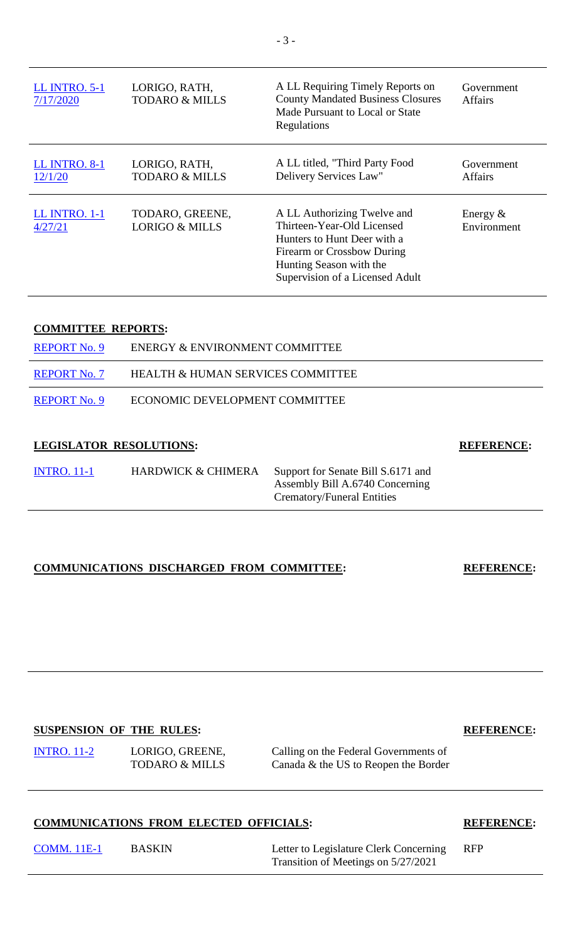| <b>LL INTRO. 5-1</b><br>7/17/2020 | LORIGO, RATH,<br><b>TODARO &amp; MILLS</b>   | A LL Requiring Timely Reports on<br><b>County Mandated Business Closures</b><br>Made Pursuant to Local or State<br>Regulations                                                       | Government<br><b>Affairs</b> |
|-----------------------------------|----------------------------------------------|--------------------------------------------------------------------------------------------------------------------------------------------------------------------------------------|------------------------------|
| <b>LL INTRO. 8-1</b><br>12/1/20   | LORIGO, RATH,<br><b>TODARO &amp; MILLS</b>   | A LL titled, "Third Party Food<br>Delivery Services Law"                                                                                                                             | Government<br><b>Affairs</b> |
| LL INTRO. 1-1<br>4/27/21          | TODARO, GREENE,<br><b>LORIGO &amp; MILLS</b> | A LL Authorizing Twelve and<br>Thirteen-Year-Old Licensed<br>Hunters to Hunt Deer with a<br>Firearm or Crossbow During<br>Hunting Season with the<br>Supervision of a Licensed Adult | Energy $\&$<br>Environment   |

### **COMMITTEE REPORTS:**

| I ECISI ATOD DESOI UTIONS. |                                   | DEEPDEMAP. |
|----------------------------|-----------------------------------|------------|
| <b>REPORT No. 9</b>        | ECONOMIC DEVELOPMENT COMMITTEE    |            |
| <b>REPORT No. 7</b>        | HEALTH & HUMAN SERVICES COMMITTEE |            |
| <b>REPORT No. 9</b>        | ENERGY & ENVIRONMENT COMMITTEE    |            |

#### **LEGISLATOR RESOLUTIONS: REFERENCE:**

| <b>INTRO.</b> 11-1 | <b>HARDWICK &amp; CHIMERA</b> | Support for Senate Bill S.6171 and |
|--------------------|-------------------------------|------------------------------------|
|                    |                               | Assembly Bill A.6740 Concerning    |
|                    |                               | Crematory/Funeral Entities         |

#### **COMMUNICATIONS DISCHARGED FROM COMMITTEE: REFERENCE:**

# **SUSPENSION OF THE RULES: REFERENCE:**

[INTRO. 11-2](https://www2.erie.gov/legislature/sites/www2.erie.gov.legislature/files/uploads/Session_Folders/2021/11/SUSPENSION%20-%20INTRO.%2011-2%20%20Lorigo%20-%20Calling%20for%20the%20Re-Opening%20of%20Border%20Traffic.pdf) LORIGO, GREENE, TODARO & MILLS

Calling on the Federal Governments of Canada & the US to Reopen the Border

## **COMMUNICATIONS FROM ELECTED OFFICIALS: REFERENCE:**

| <b>COMM.</b> 11E-1 | B. |
|--------------------|----|
|                    |    |

ASKIN Letter to Legislature Clerk Concerning Transition of Meetings on 5/27/2021

RFP

- 3 -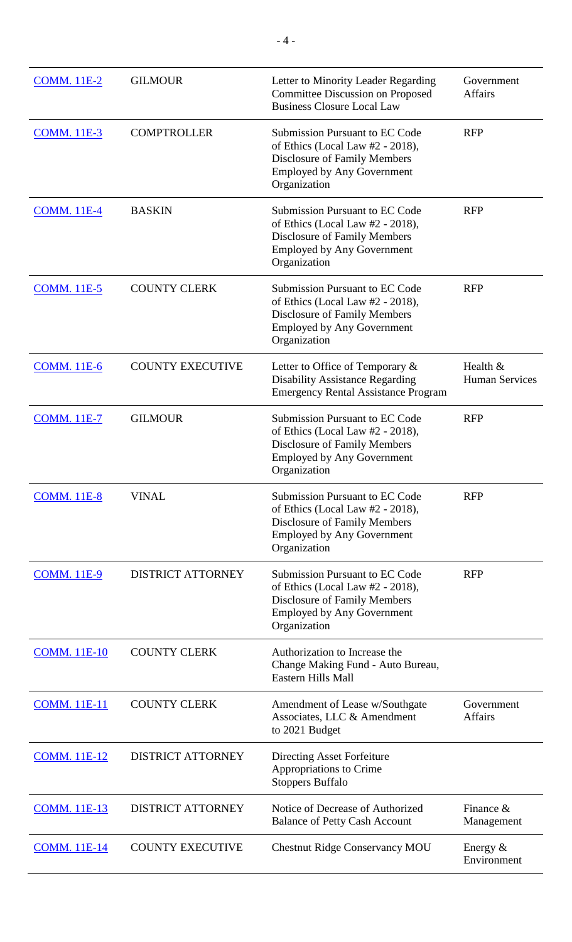| <b>COMM.</b> 11E-2  | <b>GILMOUR</b>           | Letter to Minority Leader Regarding<br><b>Committee Discussion on Proposed</b><br><b>Business Closure Local Law</b>                                                      | Government<br><b>Affairs</b>      |
|---------------------|--------------------------|--------------------------------------------------------------------------------------------------------------------------------------------------------------------------|-----------------------------------|
| <b>COMM.</b> 11E-3  | <b>COMPTROLLER</b>       | <b>Submission Pursuant to EC Code</b><br>of Ethics (Local Law $#2 - 2018$ ),<br><b>Disclosure of Family Members</b><br><b>Employed by Any Government</b><br>Organization | <b>RFP</b>                        |
| <b>COMM.</b> 11E-4  | <b>BASKIN</b>            | <b>Submission Pursuant to EC Code</b><br>of Ethics (Local Law $#2 - 2018$ ),<br>Disclosure of Family Members<br><b>Employed by Any Government</b><br>Organization        | <b>RFP</b>                        |
| <b>COMM.</b> 11E-5  | <b>COUNTY CLERK</b>      | <b>Submission Pursuant to EC Code</b><br>of Ethics (Local Law $#2 - 2018$ ),<br>Disclosure of Family Members<br><b>Employed by Any Government</b><br>Organization        | <b>RFP</b>                        |
| <b>COMM.</b> 11E-6  | <b>COUNTY EXECUTIVE</b>  | Letter to Office of Temporary $\&$<br><b>Disability Assistance Regarding</b><br><b>Emergency Rental Assistance Program</b>                                               | Health &<br><b>Human Services</b> |
| <b>COMM.</b> 11E-7  | <b>GILMOUR</b>           | <b>Submission Pursuant to EC Code</b><br>of Ethics (Local Law $#2 - 2018$ ),<br><b>Disclosure of Family Members</b><br><b>Employed by Any Government</b><br>Organization | <b>RFP</b>                        |
| <b>COMM.</b> 11E-8  | <b>VINAL</b>             | <b>Submission Pursuant to EC Code</b><br>of Ethics (Local Law $#2 - 2018$ ),<br><b>Disclosure of Family Members</b><br><b>Employed by Any Government</b><br>Organization | <b>RFP</b>                        |
| <b>COMM.</b> 11E-9  | <b>DISTRICT ATTORNEY</b> | <b>Submission Pursuant to EC Code</b><br>of Ethics (Local Law $#2 - 2018$ ),<br><b>Disclosure of Family Members</b><br><b>Employed by Any Government</b><br>Organization | <b>RFP</b>                        |
| <b>COMM.</b> 11E-10 | <b>COUNTY CLERK</b>      | Authorization to Increase the<br>Change Making Fund - Auto Bureau,<br><b>Eastern Hills Mall</b>                                                                          |                                   |
| <b>COMM.</b> 11E-11 | <b>COUNTY CLERK</b>      | Amendment of Lease w/Southgate<br>Associates, LLC & Amendment<br>to 2021 Budget                                                                                          | Government<br><b>Affairs</b>      |
| <b>COMM.</b> 11E-12 | <b>DISTRICT ATTORNEY</b> | Directing Asset Forfeiture<br>Appropriations to Crime<br><b>Stoppers Buffalo</b>                                                                                         |                                   |
| <b>COMM.</b> 11E-13 | <b>DISTRICT ATTORNEY</b> | Notice of Decrease of Authorized<br><b>Balance of Petty Cash Account</b>                                                                                                 | Finance &<br>Management           |
| <b>COMM.</b> 11E-14 | <b>COUNTY EXECUTIVE</b>  | <b>Chestnut Ridge Conservancy MOU</b>                                                                                                                                    | Energy $&$<br>Environment         |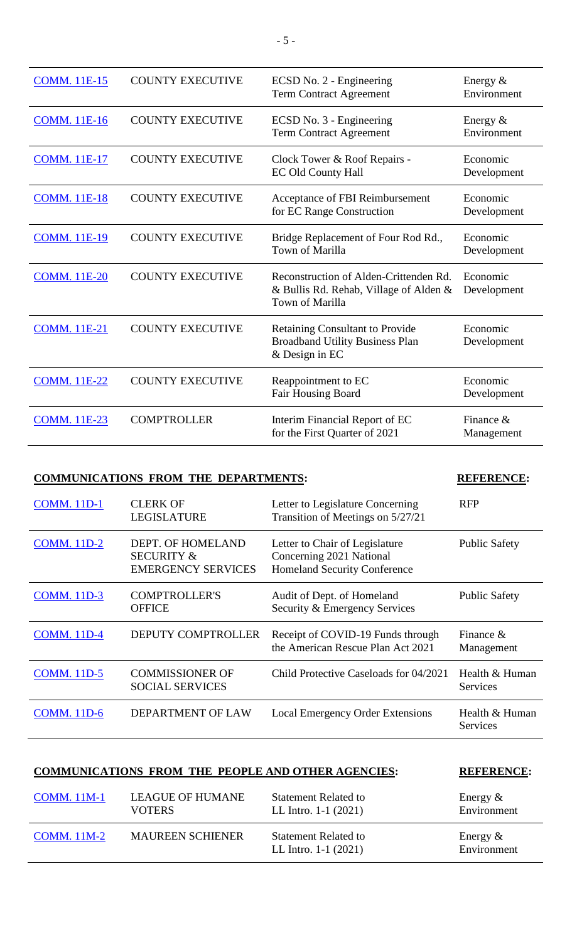| <b>COMM.</b> 11E-15 | <b>COUNTY EXECUTIVE</b> | ECSD No. 2 - Engineering<br><b>Term Contract Agreement</b>                                          | Energy $&$<br>Environment |
|---------------------|-------------------------|-----------------------------------------------------------------------------------------------------|---------------------------|
| <b>COMM.</b> 11E-16 | <b>COUNTY EXECUTIVE</b> | ECSD No. 3 - Engineering<br><b>Term Contract Agreement</b>                                          | Energy $&$<br>Environment |
| <b>COMM. 11E-17</b> | <b>COUNTY EXECUTIVE</b> | Clock Tower & Roof Repairs -<br><b>EC Old County Hall</b>                                           | Economic<br>Development   |
| <b>COMM.</b> 11E-18 | <b>COUNTY EXECUTIVE</b> | Acceptance of FBI Reimbursement<br>for EC Range Construction                                        | Economic<br>Development   |
| <b>COMM. 11E-19</b> | <b>COUNTY EXECUTIVE</b> | Bridge Replacement of Four Rod Rd.,<br><b>Town of Marilla</b>                                       | Economic<br>Development   |
| <b>COMM.</b> 11E-20 | <b>COUNTY EXECUTIVE</b> | Reconstruction of Alden-Crittenden Rd.<br>& Bullis Rd. Rehab, Village of Alden &<br>Town of Marilla | Economic<br>Development   |
| <b>COMM.</b> 11E-21 | <b>COUNTY EXECUTIVE</b> | <b>Retaining Consultant to Provide</b><br><b>Broadband Utility Business Plan</b><br>& Design in EC  | Economic<br>Development   |
| <b>COMM.</b> 11E-22 | <b>COUNTY EXECUTIVE</b> | Reappointment to EC<br><b>Fair Housing Board</b>                                                    | Economic<br>Development   |
| <b>COMM. 11E-23</b> | <b>COMPTROLLER</b>      | Interim Financial Report of EC<br>for the First Quarter of 2021                                     | Finance &<br>Management   |

## **COMMUNICATIONS FROM THE DEPARTMENTS: REFERENCE:**

| <b>COMM.</b> 11D-1 | <b>CLERK OF</b><br><b>LEGISLATURE</b>                                   | Letter to Legislature Concerning<br>Transition of Meetings on 5/27/21                             | <b>RFP</b>                 |
|--------------------|-------------------------------------------------------------------------|---------------------------------------------------------------------------------------------------|----------------------------|
| <b>COMM.</b> 11D-2 | DEPT. OF HOMELAND<br><b>SECURITY &amp;</b><br><b>EMERGENCY SERVICES</b> | Letter to Chair of Legislature<br>Concerning 2021 National<br><b>Homeland Security Conference</b> | <b>Public Safety</b>       |
| <b>COMM.</b> 11D-3 | <b>COMPTROLLER'S</b><br><b>OFFICE</b>                                   | Audit of Dept. of Homeland<br>Security & Emergency Services                                       | <b>Public Safety</b>       |
| <b>COMM.</b> 11D-4 | <b>DEPUTY COMPTROLLER</b>                                               | Receipt of COVID-19 Funds through<br>the American Rescue Plan Act 2021                            | Finance $\&$<br>Management |
| <b>COMM.</b> 11D-5 | <b>COMMISSIONER OF</b><br><b>SOCIAL SERVICES</b>                        | Child Protective Caseloads for 04/2021                                                            | Health & Human<br>Services |
| <b>COMM.</b> 11D-6 | <b>DEPARTMENT OF LAW</b>                                                | <b>Local Emergency Order Extensions</b>                                                           | Health & Human<br>Services |

# **COMMUNICATIONS FROM THE PEOPLE AND OTHER AGENCIES: REFERENCE:**

| <b>COMM.</b> 11M-1 | <b>LEAGUE OF HUMANE</b> | <b>Statement Related to</b>                           | Energy $\&$                |
|--------------------|-------------------------|-------------------------------------------------------|----------------------------|
|                    | <b>VOTERS</b>           | LL Intro. $1-1$ (2021)                                | Environment                |
| $COMM. 11M-2$      | <b>MAUREEN SCHIENER</b> | <b>Statement Related to</b><br>LL Intro. $1-1$ (2021) | Energy $\&$<br>Environment |